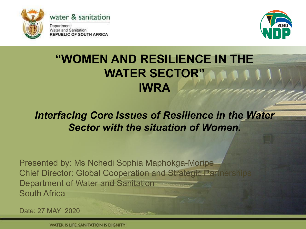



Department: Water and Sanitation **REPUBLIC OF SOUTH AFRICA** 



### **PRESENTATION TIMES A "WOMEN AND RESILIENCE IN THE WATER SECTOR" IWRA**

#### $r$ facing  $C$  $\overline{\mathbf{C}}$ *Interfacing Core Issues of Resilience in the Water Sector with the situation of Women.*

Presented by: Ms Nchedi Sophia Maphokga-Moripe Chief Director: Global Cooperation and Strategic Partnerships Department of Water and Sanitation South Africa

Date: 27 MAY 2020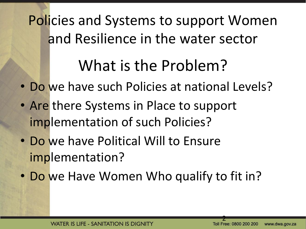Policies and Systems to support Women and Resilience in the water sector

# What is the Problem?

- Do we have such Policies at national Levels?
- Are there Systems in Place to support implementation of such Policies?
- Do we have Political Will to Ensure implementation?
- Do we Have Women Who qualify to fit in?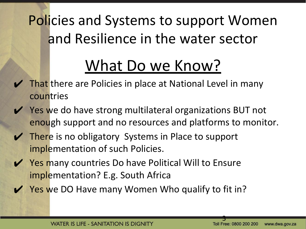# Policies and Systems to support Women and Resilience in the water sector

# What Do we Know?

- $\blacktriangleright$  That there are Policies in place at National Level in many countries
- $\vee$  Yes we do have strong multilateral organizations BUT not enough support and no resources and platforms to monitor.
- $\blacktriangleright$  There is no obligatory Systems in Place to support implementation of such Policies.
- ◆ Yes many countries Do have Political Will to Ensure implementation? E.g. South Africa
- $\vee$  Yes we DO Have many Women Who qualify to fit in?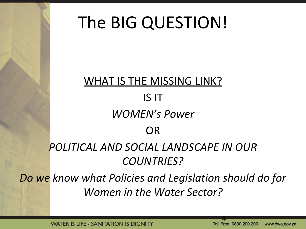# The BIG QUESTION!

### WHAT IS THE MISSING LINK? IS IT *WOMEN's Power* OR *POLITICAL AND SOCIAL LANDSCAPE IN OUR COUNTRIES?*

*Do we know what Policies and Legislation should do for Women in the Water Sector?*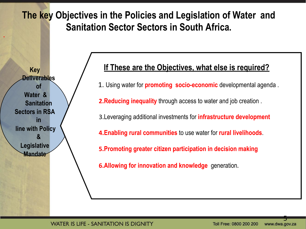### **The key Objectives in the Policies and Legislation of Water and Sanitation Sector Sectors in South Africa.**

**Key Deliverables of Water & Sanitation Sectors in RSA in line with Policy & Legislative Mandate**

.

#### **If These are the Objectives, what else is required?**

1. Using water for **promoting socio-economic** developmental agenda .

**2.Reducing inequality** through access to water and job creation .

3.Leveraging additional investments for **infrastructure development**

**4.Enabling rural communities** to use water for **rural livelihoods**.

**5.Promoting greater citizen participation in decision making** 

**6.Allowing for innovation and knowledge** generation.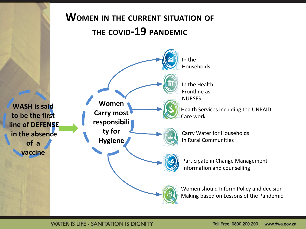

**WATER IS LIFE - SANITATION IS DIGNITY**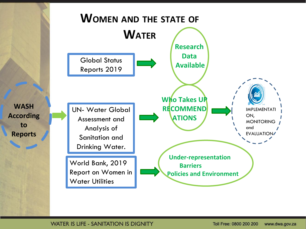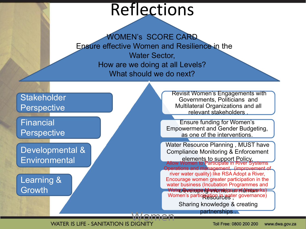# **Reflections**

WOMEN's SCORE CARD Ensure effective Women and Resilience in the Water Sector, How are we doing at all Levels? What should we do next?

Ī



 Revisit Women's Engagements with Governments, Politicians and Multilateral Organizations and all relevant stakeholders .

Ensure funding for Women's Empowerment and Gender Budgeting, as one of the interventions.

Water Resource Planning , MUST have Compliance Monitoring & Enforcement elements to support Policy, Devenosengentoraleipsian<del>dunatu</del>m **Resources** , Sharing knowledge & creating Allow Women to Participate in River Systems Operations and management, (improvement of river water quality) like RSA Adopt a River, Encourage women greater participation in the water business (Incubation Programmes and Wate**r Business Mentorships and Metworks**) Women's participation in water governance)

partnerships .

Toll Free: 0800 200 200 www.dwa.gov.za